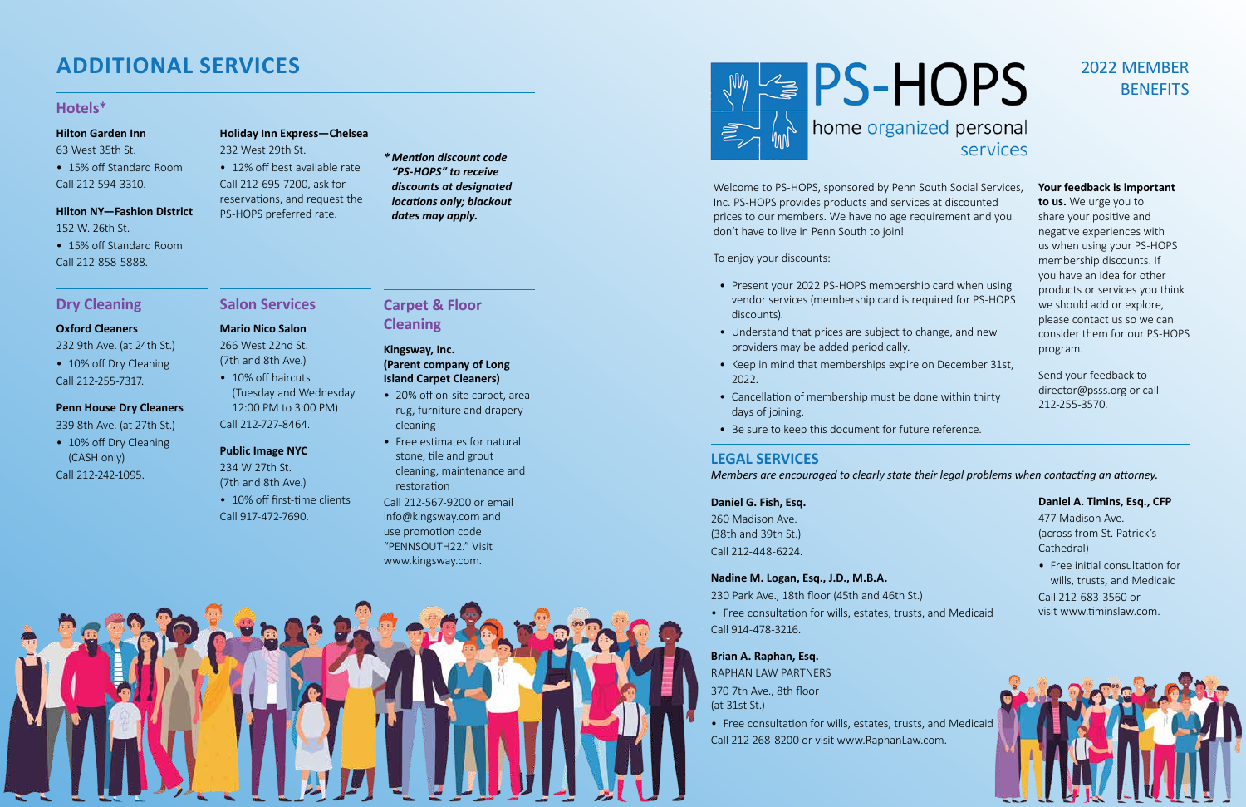Welcome to PS-HOPS, sponsored by Penn South Social Services, Inc. PS-HOPS provides products and services at discounted prices to our members. We have no age requirement and you don't have to live in Penn South to join!

To enjoy your discounts:

# 2022 MEMBER **BENEFITS**

**Mario Nico Salon**  266 West 22nd St. (7th and 8th Ave.) • 10% off haircuts

- Present your 2022 PS-HOPS membership card when using vendor services (membership card is required for PS-HOPS discounts).
- Understand that prices are subject to change, and new providers may be added periodically.
- Keep in mind that memberships expire on December 31st, 2022.
- Cancellation of membership must be done within thirty days of joining.
- Be sure to keep this document for future reference.

• 10% off Dry Cleaning (CASH only) Call 212-242-1095.

**Salon Services**

(Tuesday and Wednesday 12:00 PM to 3:00 PM)

• 10% off first-time clients

Call 212-727-8464.

**Public Image NYC**  234 W 27th St. (7th and 8th Ave.)

Call 917-472-7690.

# home organized personal services

# **Dry Cleaning**

#### **Oxford Cleaners**

232 9th Ave. (at 24th St.)

• 10% off Dry Cleaning Call 212-255-7317.

### **Penn House Dry Cleaners**

339 8th Ave. (at 27th St.)

# **ADDITIONAL SERVICES**

# **Hotels\***

### **Hilton Garden Inn**

63 West 35th St.

• 15% off Standard Room Call 212-594-3310.

### **Hilton NY—Fashion District**

152 W. 26th St.

• 15% off Standard Room Call 212-858-5888.

### **Holiday Inn Express—Chelsea**

- 20% off on-site carpet, area rug, furniture and drapery cleaning
- Free estimates for natural stone, tile and grout cleaning, maintenance and restoration

232 West 29th St. • 12% off best available rate Call 212-695-7200, ask for reservations, and request the

PS-HOPS preferred rate.

*\* Mention discount code "PS-HOPS" to receive discounts at designated locations only; blackout dates may apply.*

### **Your feedback is important**

**to us.** We urge you to share your positive and negative experiences with us when using your PS-HOPS membership discounts. If you have an idea for other products or services you think we should add or explore, please contact us so we can consider them for our PS-HOPS program.

Send your feedback to director@psss.org or call 212-255-3570.

# **LEGAL SERVICES**

### *Members are encouraged to clearly state their legal problems when contacting an attorney.*

### **Daniel G. Fish, Esq.**

260 Madison Ave. (38th and 39th St.) Call 212-448-6224.

### **Nadine M. Logan, Esq., J.D., M.B.A.**

230 Park Ave., 18th floor (45th and 46th St.)

• Free consultation for wills, estates, trusts, and Medicaid Call 914-478-3216.

### **Brian A. Raphan, Esq.**

RAPHAN LAW PARTNERS 370 7th Ave., 8th floor (at 31st St.)

• Free consultation for wills, estates, trusts, and Medicaid Call 212-268-8200 or visit www.RaphanLaw.com.



# **Carpet & Floor Cleaning**

### **Kingsway, Inc. (Parent company of Long Island Carpet Cleaners)**

Call 212-567-9200 or email info@kingsway.com and use promotion code "PENNSOUTH22." Visit www.kingsway.com.



### **Daniel A. Timins, Esq., CFP**

477 Madison Ave. (across from St. Patrick's Cathedral)

- 
- Free initial consultation for wills, trusts, and Medicaid Call 212-683-3560 or visit www.timinslaw.com.